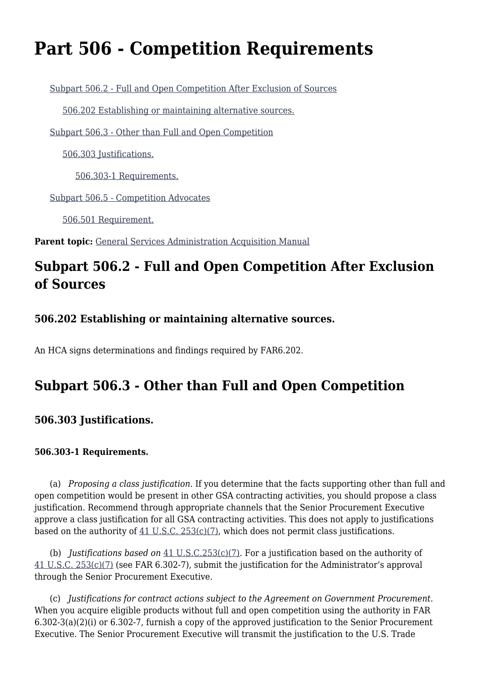# **Part 506 - Competition Requirements**

[Subpart 506.2 - Full and Open Competition After Exclusion of Sources](#page--1-0)

[506.202 Establishing or maintaining alternative sources.](#page--1-0)

[Subpart 506.3 - Other than Full and Open Competition](#page--1-0)

[506.303 Justifications.](#page--1-0)

[506.303-1 Requirements.](#page--1-0)

[Subpart 506.5 - Competition Advocates](#page--1-0)

[506.501 Requirement.](#page--1-0)

Parent topic: [General Services Administration Acquisition Manual](https://www.acquisition.gov/content/general-services-administration-acquisition-manual-0)

## **Subpart 506.2 - Full and Open Competition After Exclusion of Sources**

### **506.202 Establishing or maintaining alternative sources.**

An HCA signs determinations and findings required by FAR6.202.

### **Subpart 506.3 - Other than Full and Open Competition**

### **506.303 Justifications.**

#### **506.303-1 Requirements.**

 (a) *Proposing a class justification*. If you determine that the facts supporting other than full and open competition would be present in other GSA contracting activities, you should propose a class justification. Recommend through appropriate channels that the Senior Procurement Executive approve a class justification for all GSA contracting activities. This does not apply to justifications based on the authority of [41 U.S.C. 253\(c\)\(7\)](http://uscode.house.gov/browse.xhtml;jsessionid=114A3287C7B3359E597506A31FC855B3), which does not permit class justifications.

 (b) *Justifications based on* [41 U.S.C.253\(c\)\(7\).](http://uscode.house.gov/browse.xhtml;jsessionid=114A3287C7B3359E597506A31FC855B3) For a justification based on the authority of [41 U.S.C. 253\(c\)\(7\)](http://uscode.house.gov/browse.xhtml;jsessionid=114A3287C7B3359E597506A31FC855B3) (see FAR 6.302-7), submit the justification for the Administrator's approval through the Senior Procurement Executive.

 (c) *Justifications for contract actions subject to the Agreement on Government Procurement*. When you acquire eligible products without full and open competition using the authority in FAR 6.302-3(a)(2)(i) or 6.302-7, furnish a copy of the approved justification to the Senior Procurement Executive. The Senior Procurement Executive will transmit the justification to the U.S. Trade